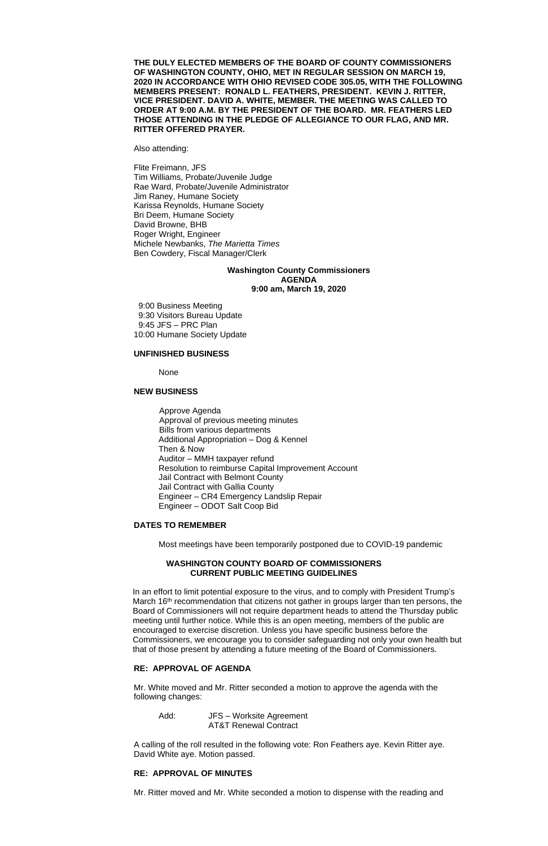**THE DULY ELECTED MEMBERS OF THE BOARD OF COUNTY COMMISSIONERS OF WASHINGTON COUNTY, OHIO, MET IN REGULAR SESSION ON MARCH 19, 2020 IN ACCORDANCE WITH OHIO REVISED CODE 305.05, WITH THE FOLLOWING MEMBERS PRESENT: RONALD L. FEATHERS, PRESIDENT. KEVIN J. RITTER, VICE PRESIDENT. DAVID A. WHITE, MEMBER. THE MEETING WAS CALLED TO ORDER AT 9:00 A.M. BY THE PRESIDENT OF THE BOARD. MR. FEATHERS LED THOSE ATTENDING IN THE PLEDGE OF ALLEGIANCE TO OUR FLAG, AND MR. RITTER OFFERED PRAYER.**

Also attending:

Flite Freimann, JFS Tim Williams, Probate/Juvenile Judge Rae Ward, Probate/Juvenile Administrator Jim Raney, Humane Society Karissa Reynolds, Humane Society Bri Deem, Humane Society David Browne, BHB Roger Wright, Engineer Michele Newbanks, *The Marietta Times* Ben Cowdery, Fiscal Manager/Clerk

## **Washington County Commissioners AGENDA 9:00 am, March 19, 2020**

9:00 Business Meeting 9:30 Visitors Bureau Update 9:45 JFS – PRC Plan 10:00 Humane Society Update

#### **UNFINISHED BUSINESS**

None

#### **NEW BUSINESS**

Approve Agenda Approval of previous meeting minutes Bills from various departments Additional Appropriation – Dog & Kennel Then & Now Auditor – MMH taxpayer refund Resolution to reimburse Capital Improvement Account Jail Contract with Belmont County Jail Contract with Gallia County Engineer – CR4 Emergency Landslip Repair Engineer – ODOT Salt Coop Bid

#### **DATES TO REMEMBER**

Most meetings have been temporarily postponed due to COVID-19 pandemic

## **WASHINGTON COUNTY BOARD OF COMMISSIONERS CURRENT PUBLIC MEETING GUIDELINES**

In an effort to limit potential exposure to the virus, and to comply with President Trump's March 16<sup>th</sup> recommendation that citizens not gather in groups larger than ten persons, the Board of Commissioners will not require department heads to attend the Thursday public meeting until further notice. While this is an open meeting, members of the public are encouraged to exercise discretion. Unless you have specific business before the Commissioners, we encourage you to consider safeguarding not only your own health but that of those present by attending a future meeting of the Board of Commissioners.

## **RE: APPROVAL OF AGENDA**

Mr. White moved and Mr. Ritter seconded a motion to approve the agenda with the following changes:

Add: JFS – Worksite Agreement AT&T Renewal Contract

A calling of the roll resulted in the following vote: Ron Feathers aye. Kevin Ritter aye. David White aye. Motion passed.

## **RE: APPROVAL OF MINUTES**

Mr. Ritter moved and Mr. White seconded a motion to dispense with the reading and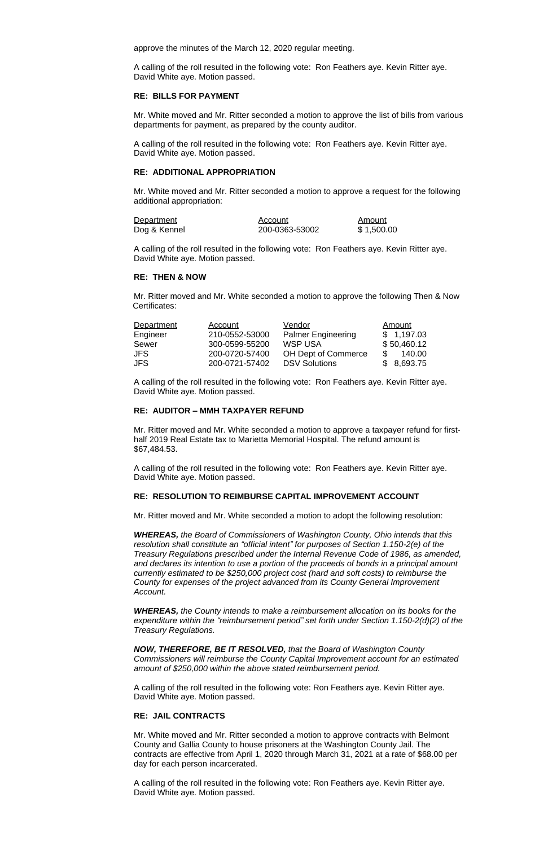approve the minutes of the March 12, 2020 regular meeting.

A calling of the roll resulted in the following vote: Ron Feathers aye. Kevin Ritter aye. David White aye. Motion passed.

### **RE: BILLS FOR PAYMENT**

Mr. White moved and Mr. Ritter seconded a motion to approve the list of bills from various departments for payment, as prepared by the county auditor.

A calling of the roll resulted in the following vote: Ron Feathers aye. Kevin Ritter aye. David White aye. Motion passed.

### **RE: ADDITIONAL APPROPRIATION**

Mr. White moved and Mr. Ritter seconded a motion to approve a request for the following additional appropriation:

| Department   | Account        | Amount     |
|--------------|----------------|------------|
| Dog & Kennel | 200-0363-53002 | \$1,500.00 |

A calling of the roll resulted in the following vote: Ron Feathers aye. Kevin Ritter aye. David White aye. Motion passed.

#### **RE: THEN & NOW**

Mr. Ritter moved and Mr. White seconded a motion to approve the following Then & Now Certificates:

| Department | Account        | Vendor                     | Amount      |
|------------|----------------|----------------------------|-------------|
| Engineer   | 210-0552-53000 | <b>Palmer Engineering</b>  | \$1,197.03  |
| Sewer      | 300-0599-55200 | <b>WSP USA</b>             | \$50,460.12 |
| <b>JFS</b> | 200-0720-57400 | <b>OH Dept of Commerce</b> | 140.00      |
| <b>JFS</b> | 200-0721-57402 | <b>DSV Solutions</b>       | \$8,693.75  |

A calling of the roll resulted in the following vote: Ron Feathers aye. Kevin Ritter aye. David White aye. Motion passed.

### **RE: AUDITOR – MMH TAXPAYER REFUND**

Mr. Ritter moved and Mr. White seconded a motion to approve a taxpayer refund for firsthalf 2019 Real Estate tax to Marietta Memorial Hospital. The refund amount is \$67,484.53.

A calling of the roll resulted in the following vote: Ron Feathers aye. Kevin Ritter aye. David White aye. Motion passed.

### **RE: RESOLUTION TO REIMBURSE CAPITAL IMPROVEMENT ACCOUNT**

Mr. Ritter moved and Mr. White seconded a motion to adopt the following resolution:

*WHEREAS, the Board of Commissioners of Washington County, Ohio intends that this resolution shall constitute an "official intent" for purposes of Section 1.150-2(e) of the Treasury Regulations prescribed under the Internal Revenue Code of 1986, as amended, and declares its intention to use a portion of the proceeds of bonds in a principal amount currently estimated to be \$250,000 project cost (hard and soft costs) to reimburse the County for expenses of the project advanced from its County General Improvement Account.*

*WHEREAS, the County intends to make a reimbursement allocation on its books for the expenditure within the "reimbursement period" set forth under Section 1.150-2(d)(2) of the Treasury Regulations.*

# *NOW, THEREFORE, BE IT RESOLVED, that the Board of Washington County*

*Commissioners will reimburse the County Capital Improvement account for an estimated amount of \$250,000 within the above stated reimbursement period.*

A calling of the roll resulted in the following vote: Ron Feathers aye. Kevin Ritter aye. David White aye. Motion passed.

# **RE: JAIL CONTRACTS**

Mr. White moved and Mr. Ritter seconded a motion to approve contracts with Belmont County and Gallia County to house prisoners at the Washington County Jail. The contracts are effective from April 1, 2020 through March 31, 2021 at a rate of \$68.00 per day for each person incarcerated.

A calling of the roll resulted in the following vote: Ron Feathers aye. Kevin Ritter aye. David White aye. Motion passed.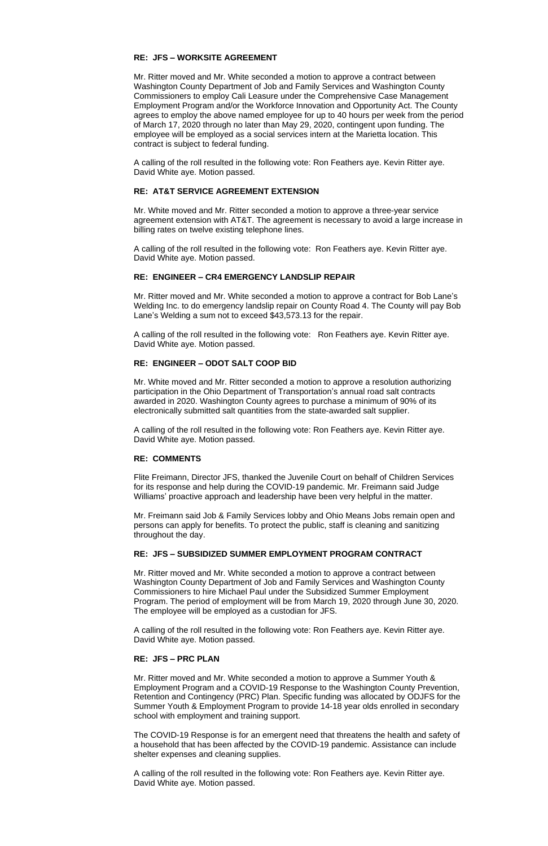# **RE: JFS – WORKSITE AGREEMENT**

Mr. Ritter moved and Mr. White seconded a motion to approve a contract between Washington County Department of Job and Family Services and Washington County Commissioners to employ Cali Leasure under the Comprehensive Case Management Employment Program and/or the Workforce Innovation and Opportunity Act. The County agrees to employ the above named employee for up to 40 hours per week from the period of March 17, 2020 through no later than May 29, 2020, contingent upon funding. The employee will be employed as a social services intern at the Marietta location. This contract is subject to federal funding.

A calling of the roll resulted in the following vote: Ron Feathers aye. Kevin Ritter aye. David White aye. Motion passed.

# **RE: AT&T SERVICE AGREEMENT EXTENSION**

Mr. White moved and Mr. Ritter seconded a motion to approve a three-year service agreement extension with AT&T. The agreement is necessary to avoid a large increase in billing rates on twelve existing telephone lines.

A calling of the roll resulted in the following vote: Ron Feathers aye. Kevin Ritter aye. David White aye. Motion passed.

# **RE: ENGINEER – CR4 EMERGENCY LANDSLIP REPAIR**

Mr. Ritter moved and Mr. White seconded a motion to approve a contract for Bob Lane's Welding Inc. to do emergency landslip repair on County Road 4. The County will pay Bob Lane's Welding a sum not to exceed \$43,573.13 for the repair.

A calling of the roll resulted in the following vote: Ron Feathers aye. Kevin Ritter aye. David White aye. Motion passed.

# **RE: ENGINEER – ODOT SALT COOP BID**

Mr. White moved and Mr. Ritter seconded a motion to approve a resolution authorizing participation in the Ohio Department of Transportation's annual road salt contracts awarded in 2020. Washington County agrees to purchase a minimum of 90% of its electronically submitted salt quantities from the state-awarded salt supplier.

A calling of the roll resulted in the following vote: Ron Feathers aye. Kevin Ritter aye. David White aye. Motion passed.

# **RE: COMMENTS**

Flite Freimann, Director JFS, thanked the Juvenile Court on behalf of Children Services for its response and help during the COVID-19 pandemic. Mr. Freimann said Judge Williams' proactive approach and leadership have been very helpful in the matter.

Mr. Freimann said Job & Family Services lobby and Ohio Means Jobs remain open and persons can apply for benefits. To protect the public, staff is cleaning and sanitizing throughout the day.

### **RE: JFS – SUBSIDIZED SUMMER EMPLOYMENT PROGRAM CONTRACT**

Mr. Ritter moved and Mr. White seconded a motion to approve a contract between Washington County Department of Job and Family Services and Washington County Commissioners to hire Michael Paul under the Subsidized Summer Employment Program. The period of employment will be from March 19, 2020 through June 30, 2020. The employee will be employed as a custodian for JFS.

A calling of the roll resulted in the following vote: Ron Feathers aye. Kevin Ritter aye. David White aye. Motion passed.

### **RE: JFS – PRC PLAN**

Mr. Ritter moved and Mr. White seconded a motion to approve a Summer Youth & Employment Program and a COVID-19 Response to the Washington County Prevention, Retention and Contingency (PRC) Plan. Specific funding was allocated by ODJFS for the Summer Youth & Employment Program to provide 14-18 year olds enrolled in secondary school with employment and training support.

The COVID-19 Response is for an emergent need that threatens the health and safety of a household that has been affected by the COVID-19 pandemic. Assistance can include shelter expenses and cleaning supplies.

A calling of the roll resulted in the following vote: Ron Feathers aye. Kevin Ritter aye. David White aye. Motion passed.